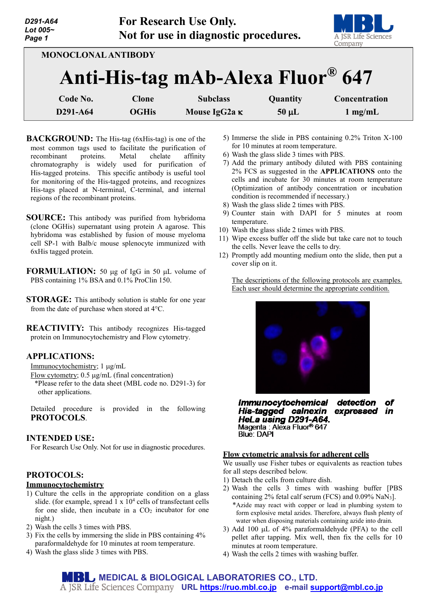| D291-A64<br>Lot 005~<br>Page 1                                  |              | <b>For Research Use Only.</b><br>Not for use in diagnostic procedures. |            | A JSR Life Sciences<br>Company |
|-----------------------------------------------------------------|--------------|------------------------------------------------------------------------|------------|--------------------------------|
| <b>MONOCLONAL ANTIBODY</b><br>Anti-His-tag mAb-Alexa Fluor® 647 |              |                                                                        |            |                                |
| Code No.                                                        | Clone        | <b>Subclass</b>                                                        | Quantity   | Concentration                  |
| D291-A64                                                        | <b>OGHis</b> | Mouse IgG2a K                                                          | $50 \mu L$ | $1 \text{ mg/mL}$              |

**BACKGROUND:** The His-tag (6xHis-tag) is one of the most common tags used to facilitate the purification of<br>recombinant proteins. Metal chelate affinity recombinant proteins. Metal chelate affinity chromatography is widely used for purification of His-tagged proteins. This specific antibody is useful tool for monitoring of the His-tagged proteins, and recognizes His-tags placed at N-terminal, C-terminal, and internal regions of the recombinant proteins.

**SOURCE:** This antibody was purified from hybridoma (clone OGHis) supernatant using protein A agarose. This hybridoma was established by fusion of mouse myeloma cell SP-1 with Balb/c mouse splenocyte immunized with 6xHis tagged protein.

**FORMULATION:** 50 µg of IgG in 50 µL volume of PBS containing 1% BSA and 0.1% ProClin 150.

**STORAGE:** This antibody solution is stable for one year from the date of purchase when stored at 4°C.

**REACTIVITY:** This antibody recognizes His-tagged protein on Immunocytochemistry and Flow cytometry.

## **APPLICATIONS:**

Immunocytochemistry; 1 µg/mL

Flow cytometry; 0.5 µg/mL (final concentration) \*Please refer to the data sheet (MBL code no. D291-3) for other applications.

Detailed procedure is provided in the following **PROTOCOLS**.

## **INTENDED USE:**

For Research Use Only. Not for use in diagnostic procedures.

# **PROTOCOLS:**

## **Immunocytochemistry**

- 1) Culture the cells in the appropriate condition on a glass slide. (for example, spread  $1 \times 10^4$  cells of transfectant cells for one slide, then incubate in a  $CO<sub>2</sub>$  incubator for one night.)
- 2) Wash the cells 3 times with PBS.
- 3) Fix the cells by immersing the slide in PBS containing 4% paraformaldehyde for 10 minutes at room temperature.
- 4) Wash the glass slide 3 times with PBS.
- 5) Immerse the slide in PBS containing 0.2% Triton X-100 for 10 minutes at room temperature.
- 6) Wash the glass slide 3 times with PBS.
- 7) Add the primary antibody diluted with PBS containing 2% FCS as suggested in the **APPLICATIONS** onto the cells and incubate for 30 minutes at room temperature (Optimization of antibody concentration or incubation condition is recommended if necessary.)
- 8) Wash the glass slide 2 times with PBS.
- 9) Counter stain with DAPI for 5 minutes at room temperature.
- 10) Wash the glass slide 2 times with PBS.
- 11) Wipe excess buffer off the slide but take care not to touch the cells. Never leave the cells to dry.
- 12) Promptly add mounting medium onto the slide, then put a cover slip on it.

The descriptions of the following protocols are examples. Each user should determine the appropriate condition.



**Immunocytochemical** detection of His-tagged calnexin expressed in HeLa using D291-A64. Magenta: Alexa Fluor<sup>®</sup> 647 **Blue: DAPI** 

#### **Flow cytometric analysis for adherent cells**

We usually use Fisher tubes or equivalents as reaction tubes for all steps described below.

- 1) Detach the cells from culture dish.
- 2) Wash the cells 3 times with washing buffer [PBS containing 2% fetal calf serum (FCS) and 0.09% NaN3]. \*Azide may react with copper or lead in plumbing system to form explosive metal azides. Therefore, always flush plenty of water when disposing materials containing azide into drain.
- 3) Add 100 µL of 4% paraformaldehyde (PFA) to the cell pellet after tapping. Mix well, then fix the cells for 10 minutes at room temperature.
- 4) Wash the cells 2 times with washing buffer.